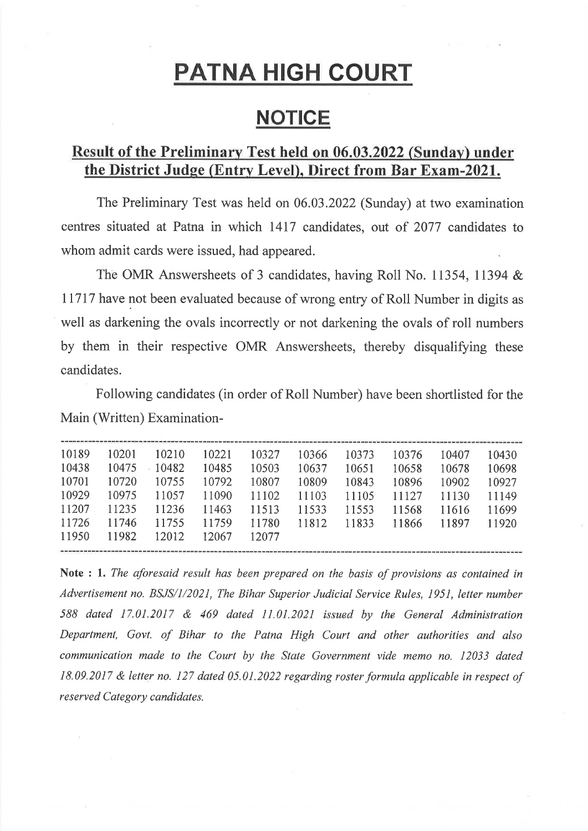# **PATNA HIGH COURT**

## **NOTICE**

### Result of the Preliminary Test held on 06.03.2022 (Sunday) under the District Judge (Entry Level), Direct from Bar Exam-2021.

The Preliminary Test was held on 06.03.2022 (Sunday) at two examination centres situated at Patna in which 1417 candidates, out of 2077 candidates to whom admit cards were issued, had appeared.

The OMR Answersheets of 3 candidates, having Roll No. 11354, 11394 & 11717 have not been evaluated because of wrong entry of Roll Number in digits as well as darkening the ovals incorrectly or not darkening the ovals of roll numbers by them in their respective OMR Answersheets, thereby disqualifying these candidates.

Following candidates (in order of Roll Number) have been shortlisted for the Main (Written) Examination-

| 10189 | 10201 | 10210 | 10221 | 10327 | 10366 | 10373 | 10376 | 10407 | 10430 |
|-------|-------|-------|-------|-------|-------|-------|-------|-------|-------|
| 10438 | 10475 | 10482 | 10485 | 10503 | 10637 | 10651 | 10658 | 10678 | 10698 |
| 10701 | 10720 | 10755 | 10792 | 10807 | 10809 | 10843 | 10896 | 10902 | 10927 |
| 10929 | 10975 | 11057 | 11090 | 11102 | 11103 | 11105 | 11127 | 11130 | 11149 |
| 11207 | 11235 | 11236 | 11463 | 11513 | 11533 | 11553 | 11568 | 11616 | 11699 |
| 11726 | 11746 | 11755 | 11759 | 11780 | 11812 | 11833 | 11866 | 11897 | 11920 |
| 11950 | 11982 | 12012 | 12067 | 12077 |       |       |       |       |       |
|       |       |       |       |       |       |       |       |       |       |

Note : 1. The aforesaid result has been prepared on the basis of provisions as contained in Advertisement no. BSJS/1/2021, The Bihar Superior Judicial Service Rules, 1951, letter number 588 dated 17.01.2017 & 469 dated 11.01.2021 issued by the General Administration Department, Govt. of Bihar to the Patna High Court and other authorities and also communication made to the Court by the State Government vide memo no. 12033 dated 18.09.2017 & letter no. 127 dated 05.01.2022 regarding roster formula applicable in respect of reserved Category candidates.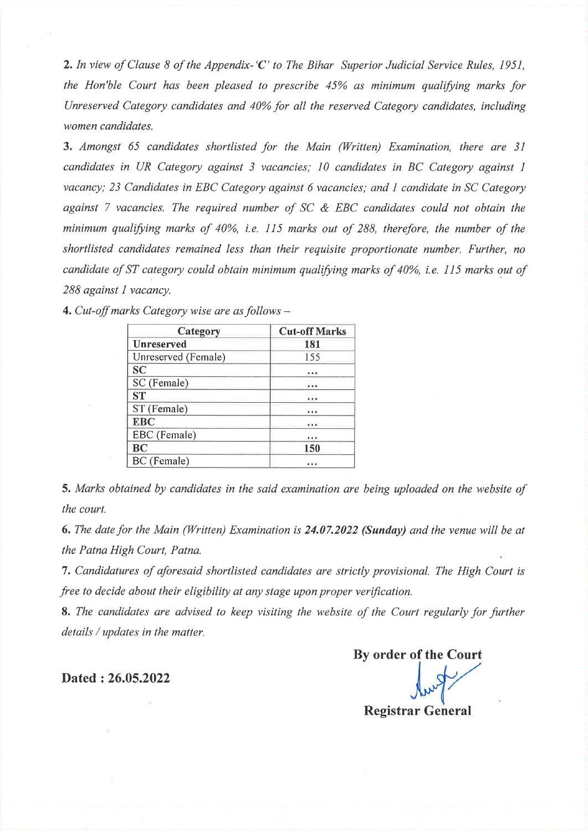2. In view of Clause 8 of the Appendix-'C' to The Bihar Superior Judicial Service Rules, 1951. the Hon'ble Court has been pleased to prescribe 45% as minimum qualifying marks for Unreserved Category candidates and 40% for all the reserved Category candidates, including women candidates.

3. Amongst 65 candidates shortlisted for the Main (Written) Examination, there are 31 candidates in UR Category against 3 vacancies; 10 candidates in BC Category against 1 vacancy; 23 Candidates in EBC Category against 6 vacancies; and 1 candidate in SC Category against 7 vacancies. The required number of  $SC & EBC$  candidates could not obtain the minimum qualifying marks of 40%, i.e. 115 marks out of 288, therefore, the number of the shortlisted candidates remained less than their requisite proportionate number. Further, no candidate of ST category could obtain minimum qualifying marks of 40%, i.e. 115 marks out of 288 against 1 vacancy.

| Category            | <b>Cut-off Marks</b> |
|---------------------|----------------------|
| <b>Unreserved</b>   | 181                  |
| Unreserved (Female) | 155                  |
| <b>SC</b>           |                      |
| SC (Female)         |                      |
| <b>ST</b>           |                      |
| ST (Female)         |                      |
| <b>EBC</b>          |                      |
| EBC (Female)        |                      |
| <b>BC</b>           | 150                  |
| BC (Female)         |                      |

4. Cut-off marks Category wise are as follows  $-$ 

5. Marks obtained by candidates in the said examination are being uploaded on the website of the court.

6. The date for the Main (Written) Examination is 24.07.2022 (Sunday) and the venue will be at the Patna High Court, Patna.

7. Candidatures of aforesaid shortlisted candidates are strictly provisional. The High Court is free to decide about their eligibility at any stage upon proper verification.

8. The candidates are advised to keep visiting the website of the Court regularly for further details / updates in the matter.

Dated: 26.05.2022

By order of the Court **Registrar General**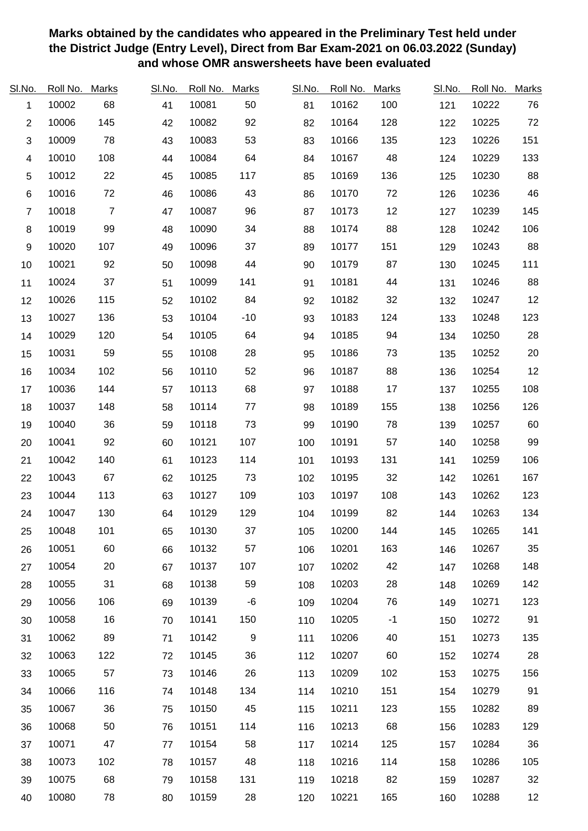| <b>SI.No.</b>           | Roll No. | <b>Marks</b>   | SI.No. | Roll No. | <b>Marks</b>     | SI.No. | Roll No. | <b>Marks</b> | SI.No. | Roll No. | <b>Marks</b> |
|-------------------------|----------|----------------|--------|----------|------------------|--------|----------|--------------|--------|----------|--------------|
| $\mathbf{1}$            | 10002    | 68             | 41     | 10081    | 50               | 81     | 10162    | 100          | 121    | 10222    | 76           |
| $\overline{2}$          | 10006    | 145            | 42     | 10082    | 92               | 82     | 10164    | 128          | 122    | 10225    | 72           |
| 3                       | 10009    | 78             | 43     | 10083    | 53               | 83     | 10166    | 135          | 123    | 10226    | 151          |
| $\overline{\mathbf{4}}$ | 10010    | 108            | 44     | 10084    | 64               | 84     | 10167    | 48           | 124    | 10229    | 133          |
| 5                       | 10012    | 22             | 45     | 10085    | 117              | 85     | 10169    | 136          | 125    | 10230    | 88           |
| $\,6$                   | 10016    | 72             | 46     | 10086    | 43               | 86     | 10170    | 72           | 126    | 10236    | 46           |
| $\overline{7}$          | 10018    | $\overline{7}$ | 47     | 10087    | 96               | 87     | 10173    | 12           | 127    | 10239    | 145          |
| 8                       | 10019    | 99             | 48     | 10090    | 34               | 88     | 10174    | 88           | 128    | 10242    | 106          |
| $\boldsymbol{9}$        | 10020    | 107            | 49     | 10096    | 37               | 89     | 10177    | 151          | 129    | 10243    | 88           |
| 10                      | 10021    | 92             | 50     | 10098    | 44               | 90     | 10179    | 87           | 130    | 10245    | 111          |
| 11                      | 10024    | 37             | 51     | 10099    | 141              | 91     | 10181    | 44           | 131    | 10246    | 88           |
| 12                      | 10026    | 115            | 52     | 10102    | 84               | 92     | 10182    | 32           | 132    | 10247    | 12           |
| 13                      | 10027    | 136            | 53     | 10104    | $-10$            | 93     | 10183    | 124          | 133    | 10248    | 123          |
| 14                      | 10029    | 120            | 54     | 10105    | 64               | 94     | 10185    | 94           | 134    | 10250    | 28           |
| 15                      | 10031    | 59             | 55     | 10108    | 28               | 95     | 10186    | 73           | 135    | 10252    | 20           |
| 16                      | 10034    | 102            | 56     | 10110    | 52               | 96     | 10187    | 88           | 136    | 10254    | 12           |
| 17                      | 10036    | 144            | 57     | 10113    | 68               | 97     | 10188    | 17           | 137    | 10255    | 108          |
| 18                      | 10037    | 148            | 58     | 10114    | 77               | 98     | 10189    | 155          | 138    | 10256    | 126          |
| 19                      | 10040    | 36             | 59     | 10118    | 73               | 99     | 10190    | 78           | 139    | 10257    | 60           |
| 20                      | 10041    | 92             | 60     | 10121    | 107              | 100    | 10191    | 57           | 140    | 10258    | 99           |
| 21                      | 10042    | 140            | 61     | 10123    | 114              | 101    | 10193    | 131          | 141    | 10259    | 106          |
| 22                      | 10043    | 67             | 62     | 10125    | 73               | 102    | 10195    | 32           | 142    | 10261    | 167          |
| 23                      | 10044    | 113            | 63     | 10127    | 109              | 103    | 10197    | 108          | 143    | 10262    | 123          |
| 24                      | 10047    | 130            | 64     | 10129    | 129              | 104    | 10199    | 82           | 144    | 10263    | 134          |
| 25                      | 10048    | 101            | 65     | 10130    | 37               | 105    | 10200    | 144          | 145    | 10265    | 141          |
| 26                      | 10051    | 60             | 66     | 10132    | 57               | 106    | 10201    | 163          | 146    | 10267    | 35           |
| 27                      | 10054    | 20             | 67     | 10137    | 107              | 107    | 10202    | 42           | 147    | 10268    | 148          |
| 28                      | 10055    | 31             | 68     | 10138    | 59               | 108    | 10203    | 28           | 148    | 10269    | 142          |
| 29                      | 10056    | 106            | 69     | 10139    | -6               | 109    | 10204    | 76           | 149    | 10271    | 123          |
| 30                      | 10058    | 16             | 70     | 10141    | 150              | 110    | 10205    | $-1$         | 150    | 10272    | 91           |
| 31                      | 10062    | 89             | 71     | 10142    | $\boldsymbol{9}$ | 111    | 10206    | 40           | 151    | 10273    | 135          |
| 32                      | 10063    | 122            | 72     | 10145    | 36               | 112    | 10207    | 60           | 152    | 10274    | 28           |
| 33                      | 10065    | 57             | 73     | 10146    | 26               | 113    | 10209    | 102          | 153    | 10275    | 156          |
| 34                      | 10066    | 116            | 74     | 10148    | 134              | 114    | 10210    | 151          | 154    | 10279    | 91           |
| 35                      | 10067    | 36             | 75     | 10150    | 45               | 115    | 10211    | 123          | 155    | 10282    | 89           |
| 36                      | 10068    | 50             | 76     | 10151    | 114              | 116    | 10213    | 68           | 156    | 10283    | 129          |
| 37                      | 10071    | 47             | 77     | 10154    | 58               | 117    | 10214    | 125          | 157    | 10284    | 36           |
| 38                      | 10073    | 102            | 78     | 10157    | 48               | 118    | 10216    | 114          | 158    | 10286    | 105          |
| 39                      | 10075    | 68             | 79     | 10158    | 131              | 119    | 10218    | 82           | 159    | 10287    | 32           |
| 40                      | 10080    | 78             | 80     | 10159    | 28               | 120    | 10221    | 165          | 160    | 10288    | 12           |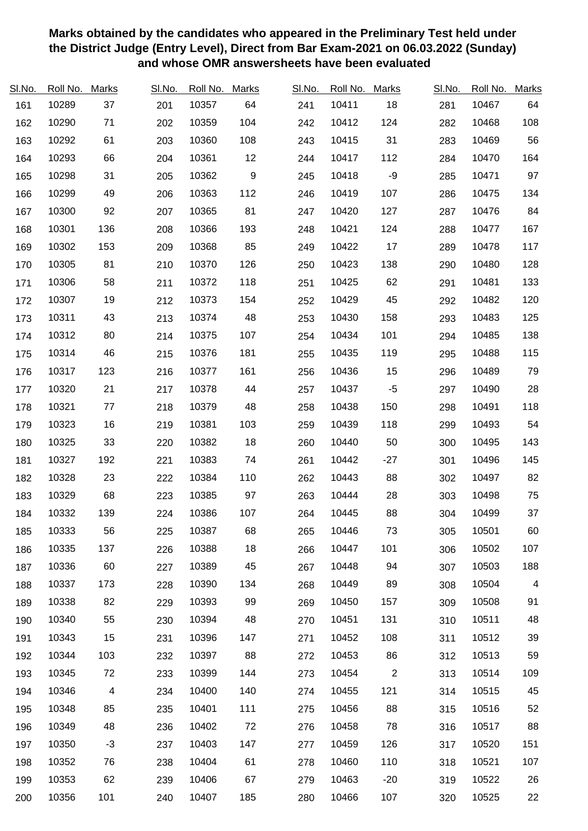| SI.No. | Roll No. | <b>Marks</b>             | SI.No. | Roll No. | <b>Marks</b> | SI.No. | Roll No. | <b>Marks</b>   | SI.No. | Roll No. | <b>Marks</b> |
|--------|----------|--------------------------|--------|----------|--------------|--------|----------|----------------|--------|----------|--------------|
| 161    | 10289    | 37                       | 201    | 10357    | 64           | 241    | 10411    | 18             | 281    | 10467    | 64           |
| 162    | 10290    | 71                       | 202    | 10359    | 104          | 242    | 10412    | 124            | 282    | 10468    | 108          |
| 163    | 10292    | 61                       | 203    | 10360    | 108          | 243    | 10415    | 31             | 283    | 10469    | 56           |
| 164    | 10293    | 66                       | 204    | 10361    | 12           | 244    | 10417    | 112            | 284    | 10470    | 164          |
| 165    | 10298    | 31                       | 205    | 10362    | 9            | 245    | 10418    | $-9$           | 285    | 10471    | 97           |
| 166    | 10299    | 49                       | 206    | 10363    | 112          | 246    | 10419    | 107            | 286    | 10475    | 134          |
| 167    | 10300    | 92                       | 207    | 10365    | 81           | 247    | 10420    | 127            | 287    | 10476    | 84           |
| 168    | 10301    | 136                      | 208    | 10366    | 193          | 248    | 10421    | 124            | 288    | 10477    | 167          |
| 169    | 10302    | 153                      | 209    | 10368    | 85           | 249    | 10422    | 17             | 289    | 10478    | 117          |
| 170    | 10305    | 81                       | 210    | 10370    | 126          | 250    | 10423    | 138            | 290    | 10480    | 128          |
| 171    | 10306    | 58                       | 211    | 10372    | 118          | 251    | 10425    | 62             | 291    | 10481    | 133          |
| 172    | 10307    | 19                       | 212    | 10373    | 154          | 252    | 10429    | 45             | 292    | 10482    | 120          |
| 173    | 10311    | 43                       | 213    | 10374    | 48           | 253    | 10430    | 158            | 293    | 10483    | 125          |
| 174    | 10312    | 80                       | 214    | 10375    | 107          | 254    | 10434    | 101            | 294    | 10485    | 138          |
| 175    | 10314    | 46                       | 215    | 10376    | 181          | 255    | 10435    | 119            | 295    | 10488    | 115          |
| 176    | 10317    | 123                      | 216    | 10377    | 161          | 256    | 10436    | 15             | 296    | 10489    | 79           |
| 177    | 10320    | 21                       | 217    | 10378    | 44           | 257    | 10437    | $-5$           | 297    | 10490    | 28           |
| 178    | 10321    | 77                       | 218    | 10379    | 48           | 258    | 10438    | 150            | 298    | 10491    | 118          |
| 179    | 10323    | 16                       | 219    | 10381    | 103          | 259    | 10439    | 118            | 299    | 10493    | 54           |
| 180    | 10325    | 33                       | 220    | 10382    | 18           | 260    | 10440    | 50             | 300    | 10495    | 143          |
| 181    | 10327    | 192                      | 221    | 10383    | 74           | 261    | 10442    | $-27$          | 301    | 10496    | 145          |
| 182    | 10328    | 23                       | 222    | 10384    | 110          | 262    | 10443    | 88             | 302    | 10497    | 82           |
| 183    | 10329    | 68                       | 223    | 10385    | 97           | 263    | 10444    | 28             | 303    | 10498    | 75           |
| 184    | 10332    | 139                      | 224    | 10386    | 107          | 264    | 10445    | 88             | 304    | 10499    | 37           |
| 185    | 10333    | 56                       | 225    | 10387    | 68           | 265    | 10446    | 73             | 305    | 10501    | 60           |
| 186    | 10335    | 137                      | 226    | 10388    | 18           | 266    | 10447    | 101            | 306    | 10502    | 107          |
| 187    | 10336    | 60                       | 227    | 10389    | 45           | 267    | 10448    | 94             | 307    | 10503    | 188          |
| 188    | 10337    | 173                      | 228    | 10390    | 134          | 268    | 10449    | 89             | 308    | 10504    | 4            |
| 189    | 10338    | 82                       | 229    | 10393    | 99           | 269    | 10450    | 157            | 309    | 10508    | 91           |
| 190    | 10340    | 55                       | 230    | 10394    | 48           | 270    | 10451    | 131            | 310    | 10511    | 48           |
| 191    | 10343    | 15                       | 231    | 10396    | 147          | 271    | 10452    | 108            | 311    | 10512    | 39           |
| 192    | 10344    | 103                      | 232    | 10397    | 88           | 272    | 10453    | 86             | 312    | 10513    | 59           |
| 193    | 10345    | 72                       | 233    | 10399    | 144          | 273    | 10454    | $\overline{c}$ | 313    | 10514    | 109          |
| 194    | 10346    | $\overline{\mathcal{A}}$ | 234    | 10400    | 140          | 274    | 10455    | 121            | 314    | 10515    | 45           |
| 195    | 10348    | 85                       | 235    | 10401    | 111          | 275    | 10456    | 88             | 315    | 10516    | 52           |
| 196    | 10349    | 48                       | 236    | 10402    | 72           | 276    | 10458    | 78             | 316    | 10517    | 88           |
| 197    | 10350    | $-3$                     | 237    | 10403    | 147          | 277    | 10459    | 126            | 317    | 10520    | 151          |
| 198    | 10352    | 76                       | 238    | 10404    | 61           | 278    | 10460    | 110            | 318    | 10521    | 107          |
| 199    | 10353    | 62                       | 239    | 10406    | 67           | 279    | 10463    | $-20$          | 319    | 10522    | 26           |
| 200    | 10356    | 101                      | 240    | 10407    | 185          | 280    | 10466    | 107            | 320    | 10525    | 22           |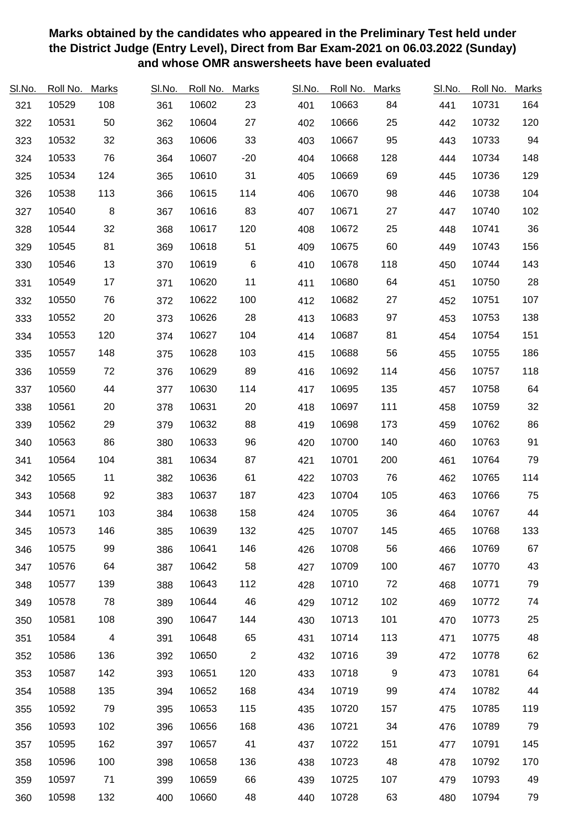| SI.No. | Roll No. | <b>Marks</b>   | SI.No. | Roll No. | <b>Marks</b>   | SI.No. | Roll No. | <b>Marks</b> | SI.No. | Roll No. | <b>Marks</b> |
|--------|----------|----------------|--------|----------|----------------|--------|----------|--------------|--------|----------|--------------|
| 321    | 10529    | 108            | 361    | 10602    | 23             | 401    | 10663    | 84           | 441    | 10731    | 164          |
| 322    | 10531    | 50             | 362    | 10604    | 27             | 402    | 10666    | 25           | 442    | 10732    | 120          |
| 323    | 10532    | 32             | 363    | 10606    | 33             | 403    | 10667    | 95           | 443    | 10733    | 94           |
| 324    | 10533    | 76             | 364    | 10607    | $-20$          | 404    | 10668    | 128          | 444    | 10734    | 148          |
| 325    | 10534    | 124            | 365    | 10610    | 31             | 405    | 10669    | 69           | 445    | 10736    | 129          |
| 326    | 10538    | 113            | 366    | 10615    | 114            | 406    | 10670    | 98           | 446    | 10738    | 104          |
| 327    | 10540    | 8              | 367    | 10616    | 83             | 407    | 10671    | 27           | 447    | 10740    | 102          |
| 328    | 10544    | 32             | 368    | 10617    | 120            | 408    | 10672    | 25           | 448    | 10741    | 36           |
| 329    | 10545    | 81             | 369    | 10618    | 51             | 409    | 10675    | 60           | 449    | 10743    | 156          |
| 330    | 10546    | 13             | 370    | 10619    | $\,6$          | 410    | 10678    | 118          | 450    | 10744    | 143          |
| 331    | 10549    | 17             | 371    | 10620    | 11             | 411    | 10680    | 64           | 451    | 10750    | 28           |
| 332    | 10550    | 76             | 372    | 10622    | 100            | 412    | 10682    | 27           | 452    | 10751    | 107          |
| 333    | 10552    | 20             | 373    | 10626    | 28             | 413    | 10683    | 97           | 453    | 10753    | 138          |
| 334    | 10553    | 120            | 374    | 10627    | 104            | 414    | 10687    | 81           | 454    | 10754    | 151          |
| 335    | 10557    | 148            | 375    | 10628    | 103            | 415    | 10688    | 56           | 455    | 10755    | 186          |
| 336    | 10559    | 72             | 376    | 10629    | 89             | 416    | 10692    | 114          | 456    | 10757    | 118          |
| 337    | 10560    | 44             | 377    | 10630    | 114            | 417    | 10695    | 135          | 457    | 10758    | 64           |
| 338    | 10561    | 20             | 378    | 10631    | 20             | 418    | 10697    | 111          | 458    | 10759    | 32           |
| 339    | 10562    | 29             | 379    | 10632    | 88             | 419    | 10698    | 173          | 459    | 10762    | 86           |
| 340    | 10563    | 86             | 380    | 10633    | 96             | 420    | 10700    | 140          | 460    | 10763    | 91           |
| 341    | 10564    | 104            | 381    | 10634    | 87             | 421    | 10701    | 200          | 461    | 10764    | 79           |
| 342    | 10565    | 11             | 382    | 10636    | 61             | 422    | 10703    | 76           | 462    | 10765    | 114          |
| 343    | 10568    | 92             | 383    | 10637    | 187            | 423    | 10704    | 105          | 463    | 10766    | 75           |
| 344    | 10571    | 103            | 384    | 10638    | 158            | 424    | 10705    | 36           | 464    | 10767    | 44           |
| 345    | 10573    | 146            | 385    | 10639    | 132            | 425    | 10707    | 145          | 465    | 10768    | 133          |
| 346    | 10575    | 99             | 386    | 10641    | 146            | 426    | 10708    | 56           | 466    | 10769    | 67           |
| 347    | 10576    | 64             | 387    | 10642    | 58             | 427    | 10709    | 100          | 467    | 10770    | 43           |
| 348    | 10577    | 139            | 388    | 10643    | 112            | 428    | 10710    | 72           | 468    | 10771    | 79           |
| 349    | 10578    | 78             | 389    | 10644    | 46             | 429    | 10712    | 102          | 469    | 10772    | 74           |
| 350    | 10581    | 108            | 390    | 10647    | 144            | 430    | 10713    | 101          | 470    | 10773    | 25           |
| 351    | 10584    | $\overline{4}$ | 391    | 10648    | 65             | 431    | 10714    | 113          | 471    | 10775    | 48           |
| 352    | 10586    | 136            | 392    | 10650    | $\overline{c}$ | 432    | 10716    | 39           | 472    | 10778    | 62           |
| 353    | 10587    | 142            | 393    | 10651    | 120            | 433    | 10718    | 9            | 473    | 10781    | 64           |
| 354    | 10588    | 135            | 394    | 10652    | 168            | 434    | 10719    | 99           | 474    | 10782    | 44           |
| 355    | 10592    | 79             | 395    | 10653    | 115            | 435    | 10720    | 157          | 475    | 10785    | 119          |
| 356    | 10593    | 102            | 396    | 10656    | 168            | 436    | 10721    | 34           | 476    | 10789    | 79           |
| 357    | 10595    | 162            | 397    | 10657    | 41             | 437    | 10722    | 151          | 477    | 10791    | 145          |
| 358    | 10596    | 100            | 398    | 10658    | 136            | 438    | 10723    | 48           | 478    | 10792    | 170          |
| 359    | 10597    | 71             | 399    | 10659    | 66             | 439    | 10725    | 107          | 479    | 10793    | 49           |
| 360    | 10598    | 132            | 400    | 10660    | 48             | 440    | 10728    | 63           | 480    | 10794    | 79           |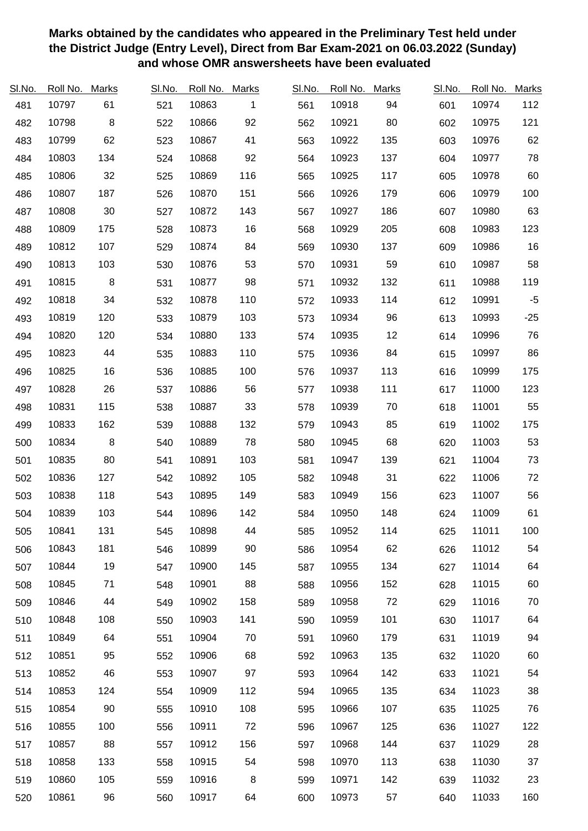| SI.No. | Roll No. | <b>Marks</b> | SI.No. | Roll No. | <b>Marks</b> | SI.No. | Roll No. | <b>Marks</b> | SI.No. | Roll No. | <b>Marks</b> |
|--------|----------|--------------|--------|----------|--------------|--------|----------|--------------|--------|----------|--------------|
| 481    | 10797    | 61           | 521    | 10863    | 1            | 561    | 10918    | 94           | 601    | 10974    | 112          |
| 482    | 10798    | $\, 8$       | 522    | 10866    | 92           | 562    | 10921    | 80           | 602    | 10975    | 121          |
| 483    | 10799    | 62           | 523    | 10867    | 41           | 563    | 10922    | 135          | 603    | 10976    | 62           |
| 484    | 10803    | 134          | 524    | 10868    | 92           | 564    | 10923    | 137          | 604    | 10977    | 78           |
| 485    | 10806    | 32           | 525    | 10869    | 116          | 565    | 10925    | 117          | 605    | 10978    | 60           |
| 486    | 10807    | 187          | 526    | 10870    | 151          | 566    | 10926    | 179          | 606    | 10979    | 100          |
| 487    | 10808    | 30           | 527    | 10872    | 143          | 567    | 10927    | 186          | 607    | 10980    | 63           |
| 488    | 10809    | 175          | 528    | 10873    | 16           | 568    | 10929    | 205          | 608    | 10983    | 123          |
| 489    | 10812    | 107          | 529    | 10874    | 84           | 569    | 10930    | 137          | 609    | 10986    | 16           |
| 490    | 10813    | 103          | 530    | 10876    | 53           | 570    | 10931    | 59           | 610    | 10987    | 58           |
| 491    | 10815    | $\, 8$       | 531    | 10877    | 98           | 571    | 10932    | 132          | 611    | 10988    | 119          |
| 492    | 10818    | 34           | 532    | 10878    | 110          | 572    | 10933    | 114          | 612    | 10991    | $-5$         |
| 493    | 10819    | 120          | 533    | 10879    | 103          | 573    | 10934    | 96           | 613    | 10993    | $-25$        |
| 494    | 10820    | 120          | 534    | 10880    | 133          | 574    | 10935    | 12           | 614    | 10996    | 76           |
| 495    | 10823    | 44           | 535    | 10883    | 110          | 575    | 10936    | 84           | 615    | 10997    | 86           |
| 496    | 10825    | 16           | 536    | 10885    | 100          | 576    | 10937    | 113          | 616    | 10999    | 175          |
| 497    | 10828    | 26           | 537    | 10886    | 56           | 577    | 10938    | 111          | 617    | 11000    | 123          |
| 498    | 10831    | 115          | 538    | 10887    | 33           | 578    | 10939    | 70           | 618    | 11001    | 55           |
| 499    | 10833    | 162          | 539    | 10888    | 132          | 579    | 10943    | 85           | 619    | 11002    | 175          |
| 500    | 10834    | $\, 8$       | 540    | 10889    | 78           | 580    | 10945    | 68           | 620    | 11003    | 53           |
| 501    | 10835    | 80           | 541    | 10891    | 103          | 581    | 10947    | 139          | 621    | 11004    | 73           |
| 502    | 10836    | 127          | 542    | 10892    | 105          | 582    | 10948    | 31           | 622    | 11006    | 72           |
| 503    | 10838    | 118          | 543    | 10895    | 149          | 583    | 10949    | 156          | 623    | 11007    | 56           |
| 504    | 10839    | 103          | 544    | 10896    | 142          | 584    | 10950    | 148          | 624    | 11009    | 61           |
| 505    | 10841    | 131          | 545    | 10898    | 44           | 585    | 10952    | 114          | 625    | 11011    | 100          |
| 506    | 10843    | 181          | 546    | 10899    | 90           | 586    | 10954    | 62           | 626    | 11012    | 54           |
| 507    | 10844    | 19           | 547    | 10900    | 145          | 587    | 10955    | 134          | 627    | 11014    | 64           |
| 508    | 10845    | 71           | 548    | 10901    | 88           | 588    | 10956    | 152          | 628    | 11015    | 60           |
| 509    | 10846    | 44           | 549    | 10902    | 158          | 589    | 10958    | 72           | 629    | 11016    | 70           |
| 510    | 10848    | 108          | 550    | 10903    | 141          | 590    | 10959    | 101          | 630    | 11017    | 64           |
| 511    | 10849    | 64           | 551    | 10904    | 70           | 591    | 10960    | 179          | 631    | 11019    | 94           |
| 512    | 10851    | 95           | 552    | 10906    | 68           | 592    | 10963    | 135          | 632    | 11020    | 60           |
| 513    | 10852    | 46           | 553    | 10907    | 97           | 593    | 10964    | 142          | 633    | 11021    | 54           |
| 514    | 10853    | 124          | 554    | 10909    | 112          | 594    | 10965    | 135          | 634    | 11023    | 38           |
| 515    | 10854    | 90           | 555    | 10910    | 108          | 595    | 10966    | 107          | 635    | 11025    | 76           |
| 516    | 10855    | 100          | 556    | 10911    | 72           | 596    | 10967    | 125          | 636    | 11027    | 122          |
| 517    | 10857    | 88           | 557    | 10912    | 156          | 597    | 10968    | 144          | 637    | 11029    | 28           |
| 518    | 10858    | 133          | 558    | 10915    | 54           | 598    | 10970    | 113          | 638    | 11030    | 37           |
| 519    | 10860    | 105          | 559    | 10916    | 8            | 599    | 10971    | 142          | 639    | 11032    | 23           |
| 520    | 10861    | 96           | 560    | 10917    | 64           | 600    | 10973    | 57           | 640    | 11033    | 160          |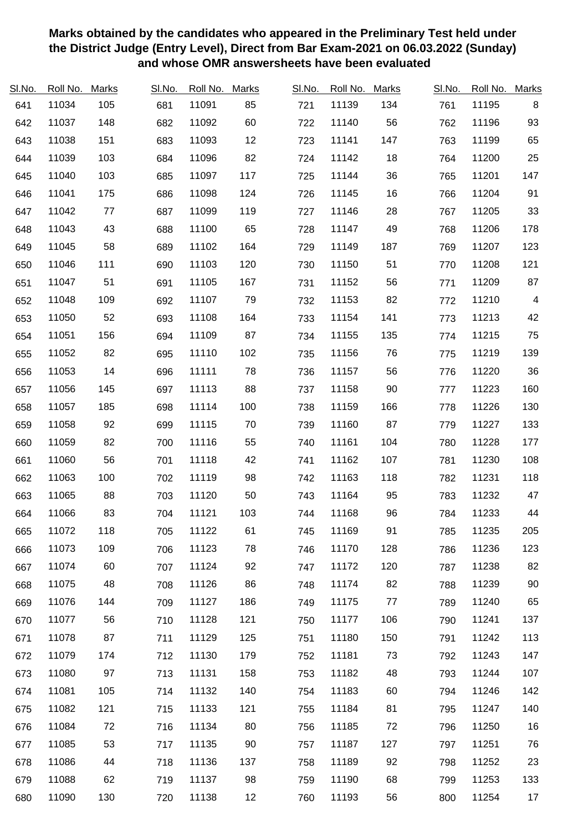| SI.No. | Roll No. | Marks | SI.No. | Roll No. | <b>Marks</b> | SI.No. | Roll No. | <b>Marks</b> | SI.No. | Roll No. | <b>Marks</b>   |
|--------|----------|-------|--------|----------|--------------|--------|----------|--------------|--------|----------|----------------|
| 641    | 11034    | 105   | 681    | 11091    | 85           | 721    | 11139    | 134          | 761    | 11195    | 8              |
| 642    | 11037    | 148   | 682    | 11092    | 60           | 722    | 11140    | 56           | 762    | 11196    | 93             |
| 643    | 11038    | 151   | 683    | 11093    | 12           | 723    | 11141    | 147          | 763    | 11199    | 65             |
| 644    | 11039    | 103   | 684    | 11096    | 82           | 724    | 11142    | 18           | 764    | 11200    | 25             |
| 645    | 11040    | 103   | 685    | 11097    | 117          | 725    | 11144    | 36           | 765    | 11201    | 147            |
| 646    | 11041    | 175   | 686    | 11098    | 124          | 726    | 11145    | 16           | 766    | 11204    | 91             |
| 647    | 11042    | 77    | 687    | 11099    | 119          | 727    | 11146    | 28           | 767    | 11205    | 33             |
| 648    | 11043    | 43    | 688    | 11100    | 65           | 728    | 11147    | 49           | 768    | 11206    | 178            |
| 649    | 11045    | 58    | 689    | 11102    | 164          | 729    | 11149    | 187          | 769    | 11207    | 123            |
| 650    | 11046    | 111   | 690    | 11103    | 120          | 730    | 11150    | 51           | 770    | 11208    | 121            |
| 651    | 11047    | 51    | 691    | 11105    | 167          | 731    | 11152    | 56           | 771    | 11209    | 87             |
| 652    | 11048    | 109   | 692    | 11107    | 79           | 732    | 11153    | 82           | 772    | 11210    | $\overline{4}$ |
| 653    | 11050    | 52    | 693    | 11108    | 164          | 733    | 11154    | 141          | 773    | 11213    | 42             |
| 654    | 11051    | 156   | 694    | 11109    | 87           | 734    | 11155    | 135          | 774    | 11215    | 75             |
| 655    | 11052    | 82    | 695    | 11110    | 102          | 735    | 11156    | 76           | 775    | 11219    | 139            |
| 656    | 11053    | 14    | 696    | 11111    | 78           | 736    | 11157    | 56           | 776    | 11220    | 36             |
| 657    | 11056    | 145   | 697    | 11113    | 88           | 737    | 11158    | 90           | 777    | 11223    | 160            |
| 658    | 11057    | 185   | 698    | 11114    | 100          | 738    | 11159    | 166          | 778    | 11226    | 130            |
| 659    | 11058    | 92    | 699    | 11115    | 70           | 739    | 11160    | 87           | 779    | 11227    | 133            |
| 660    | 11059    | 82    | 700    | 11116    | 55           | 740    | 11161    | 104          | 780    | 11228    | 177            |
| 661    | 11060    | 56    | 701    | 11118    | 42           | 741    | 11162    | 107          | 781    | 11230    | 108            |
| 662    | 11063    | 100   | 702    | 11119    | 98           | 742    | 11163    | 118          | 782    | 11231    | 118            |
| 663    | 11065    | 88    | 703    | 11120    | 50           | 743    | 11164    | 95           | 783    | 11232    | 47             |
| 664    | 11066    | 83    | 704    | 11121    | 103          | 744    | 11168    | 96           | 784    | 11233    | 44             |
| 665    | 11072    | 118   | 705    | 11122    | 61           | 745    | 11169    | 91           | 785    | 11235    | 205            |
| 666    | 11073    | 109   | 706    | 11123    | 78           | 746    | 11170    | 128          | 786    | 11236    | 123            |
| 667    | 11074    | 60    | 707    | 11124    | 92           | 747    | 11172    | 120          | 787    | 11238    | 82             |
| 668    | 11075    | 48    | 708    | 11126    | 86           | 748    | 11174    | 82           | 788    | 11239    | 90             |
| 669    | 11076    | 144   | 709    | 11127    | 186          | 749    | 11175    | 77           | 789    | 11240    | 65             |
| 670    | 11077    | 56    | 710    | 11128    | 121          | 750    | 11177    | 106          | 790    | 11241    | 137            |
| 671    | 11078    | 87    | 711    | 11129    | 125          | 751    | 11180    | 150          | 791    | 11242    | 113            |
| 672    | 11079    | 174   | 712    | 11130    | 179          | 752    | 11181    | 73           | 792    | 11243    | 147            |
| 673    | 11080    | 97    | 713    | 11131    | 158          | 753    | 11182    | 48           | 793    | 11244    | 107            |
| 674    | 11081    | 105   | 714    | 11132    | 140          | 754    | 11183    | 60           | 794    | 11246    | 142            |
| 675    | 11082    | 121   | 715    | 11133    | 121          | 755    | 11184    | 81           | 795    | 11247    | 140            |
| 676    | 11084    | 72    | 716    | 11134    | 80           | 756    | 11185    | 72           | 796    | 11250    | 16             |
| 677    | 11085    | 53    | 717    | 11135    | 90           | 757    | 11187    | 127          | 797    | 11251    | 76             |
| 678    | 11086    | 44    | 718    | 11136    | 137          | 758    | 11189    | 92           | 798    | 11252    | 23             |
| 679    | 11088    | 62    | 719    | 11137    | 98           | 759    | 11190    | 68           | 799    | 11253    | 133            |
| 680    | 11090    | 130   | 720    | 11138    | 12           | 760    | 11193    | 56           | 800    | 11254    | 17             |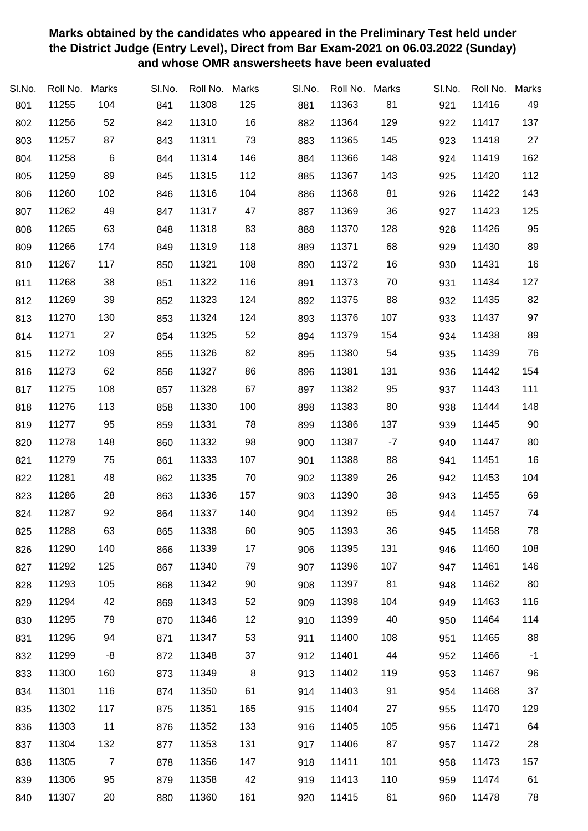| SI.No. | Roll No. | <b>Marks</b>   | SI.No. | Roll No. | <b>Marks</b> | SI.No. | Roll No. | <b>Marks</b> | SI.No. | Roll No. | <b>Marks</b> |
|--------|----------|----------------|--------|----------|--------------|--------|----------|--------------|--------|----------|--------------|
| 801    | 11255    | 104            | 841    | 11308    | 125          | 881    | 11363    | 81           | 921    | 11416    | 49           |
| 802    | 11256    | 52             | 842    | 11310    | 16           | 882    | 11364    | 129          | 922    | 11417    | 137          |
| 803    | 11257    | 87             | 843    | 11311    | 73           | 883    | 11365    | 145          | 923    | 11418    | 27           |
| 804    | 11258    | $\,6$          | 844    | 11314    | 146          | 884    | 11366    | 148          | 924    | 11419    | 162          |
| 805    | 11259    | 89             | 845    | 11315    | 112          | 885    | 11367    | 143          | 925    | 11420    | 112          |
| 806    | 11260    | 102            | 846    | 11316    | 104          | 886    | 11368    | 81           | 926    | 11422    | 143          |
| 807    | 11262    | 49             | 847    | 11317    | 47           | 887    | 11369    | 36           | 927    | 11423    | 125          |
| 808    | 11265    | 63             | 848    | 11318    | 83           | 888    | 11370    | 128          | 928    | 11426    | 95           |
| 809    | 11266    | 174            | 849    | 11319    | 118          | 889    | 11371    | 68           | 929    | 11430    | 89           |
| 810    | 11267    | 117            | 850    | 11321    | 108          | 890    | 11372    | 16           | 930    | 11431    | $16\,$       |
| 811    | 11268    | 38             | 851    | 11322    | 116          | 891    | 11373    | 70           | 931    | 11434    | 127          |
| 812    | 11269    | 39             | 852    | 11323    | 124          | 892    | 11375    | 88           | 932    | 11435    | 82           |
| 813    | 11270    | 130            | 853    | 11324    | 124          | 893    | 11376    | 107          | 933    | 11437    | 97           |
| 814    | 11271    | 27             | 854    | 11325    | 52           | 894    | 11379    | 154          | 934    | 11438    | 89           |
| 815    | 11272    | 109            | 855    | 11326    | 82           | 895    | 11380    | 54           | 935    | 11439    | 76           |
| 816    | 11273    | 62             | 856    | 11327    | 86           | 896    | 11381    | 131          | 936    | 11442    | 154          |
| 817    | 11275    | 108            | 857    | 11328    | 67           | 897    | 11382    | 95           | 937    | 11443    | 111          |
| 818    | 11276    | 113            | 858    | 11330    | 100          | 898    | 11383    | 80           | 938    | 11444    | 148          |
| 819    | 11277    | 95             | 859    | 11331    | 78           | 899    | 11386    | 137          | 939    | 11445    | 90           |
| 820    | 11278    | 148            | 860    | 11332    | 98           | 900    | 11387    | $-7$         | 940    | 11447    | 80           |
| 821    | 11279    | 75             | 861    | 11333    | 107          | 901    | 11388    | 88           | 941    | 11451    | 16           |
| 822    | 11281    | 48             | 862    | 11335    | 70           | 902    | 11389    | 26           | 942    | 11453    | 104          |
| 823    | 11286    | 28             | 863    | 11336    | 157          | 903    | 11390    | 38           | 943    | 11455    | 69           |
| 824    | 11287    | 92             | 864    | 11337    | 140          | 904    | 11392    | 65           | 944    | 11457    | 74           |
| 825    | 11288    | 63             | 865    | 11338    | 60           | 905    | 11393    | 36           | 945    | 11458    | 78           |
| 826    | 11290    | 140            | 866    | 11339    | 17           | 906    | 11395    | 131          | 946    | 11460    | 108          |
| 827    | 11292    | 125            | 867    | 11340    | 79           | 907    | 11396    | 107          | 947    | 11461    | 146          |
| 828    | 11293    | 105            | 868    | 11342    | 90           | 908    | 11397    | 81           | 948    | 11462    | 80           |
| 829    | 11294    | 42             | 869    | 11343    | 52           | 909    | 11398    | 104          | 949    | 11463    | 116          |
| 830    | 11295    | 79             | 870    | 11346    | 12           | 910    | 11399    | 40           | 950    | 11464    | 114          |
| 831    | 11296    | 94             | 871    | 11347    | 53           | 911    | 11400    | 108          | 951    | 11465    | 88           |
| 832    | 11299    | -8             | 872    | 11348    | 37           | 912    | 11401    | 44           | 952    | 11466    | $-1$         |
| 833    | 11300    | 160            | 873    | 11349    | 8            | 913    | 11402    | 119          | 953    | 11467    | 96           |
| 834    | 11301    | 116            | 874    | 11350    | 61           | 914    | 11403    | 91           | 954    | 11468    | 37           |
| 835    | 11302    | 117            | 875    | 11351    | 165          | 915    | 11404    | 27           | 955    | 11470    | 129          |
| 836    | 11303    | 11             | 876    | 11352    | 133          | 916    | 11405    | 105          | 956    | 11471    | 64           |
| 837    | 11304    | 132            | 877    | 11353    | 131          | 917    | 11406    | 87           | 957    | 11472    | 28           |
| 838    | 11305    | $\overline{7}$ | 878    | 11356    | 147          | 918    | 11411    | 101          | 958    | 11473    | 157          |
| 839    | 11306    | 95             | 879    | 11358    | 42           | 919    | 11413    | 110          | 959    | 11474    | 61           |
| 840    | 11307    | 20             | 880    | 11360    | 161          | 920    | 11415    | 61           | 960    | 11478    | 78           |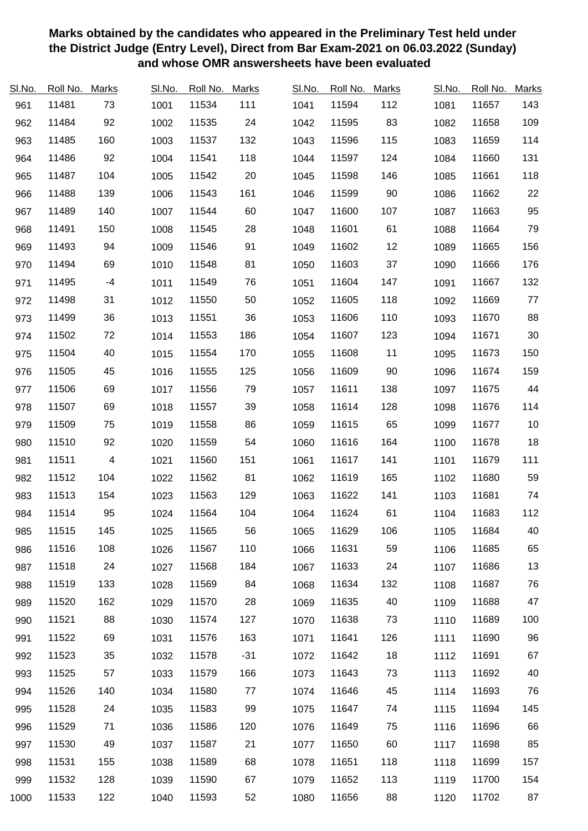| SI.No. | Roll No. | <b>Marks</b>             | SI.No. | Roll No. | <b>Marks</b> | SI.No. | Roll No. | <b>Marks</b> | SI.No. | Roll No. | <b>Marks</b> |
|--------|----------|--------------------------|--------|----------|--------------|--------|----------|--------------|--------|----------|--------------|
| 961    | 11481    | 73                       | 1001   | 11534    | 111          | 1041   | 11594    | 112          | 1081   | 11657    | 143          |
| 962    | 11484    | 92                       | 1002   | 11535    | 24           | 1042   | 11595    | 83           | 1082   | 11658    | 109          |
| 963    | 11485    | 160                      | 1003   | 11537    | 132          | 1043   | 11596    | 115          | 1083   | 11659    | 114          |
| 964    | 11486    | 92                       | 1004   | 11541    | 118          | 1044   | 11597    | 124          | 1084   | 11660    | 131          |
| 965    | 11487    | 104                      | 1005   | 11542    | 20           | 1045   | 11598    | 146          | 1085   | 11661    | 118          |
| 966    | 11488    | 139                      | 1006   | 11543    | 161          | 1046   | 11599    | $90\,$       | 1086   | 11662    | 22           |
| 967    | 11489    | 140                      | 1007   | 11544    | 60           | 1047   | 11600    | 107          | 1087   | 11663    | 95           |
| 968    | 11491    | 150                      | 1008   | 11545    | 28           | 1048   | 11601    | 61           | 1088   | 11664    | 79           |
| 969    | 11493    | 94                       | 1009   | 11546    | 91           | 1049   | 11602    | 12           | 1089   | 11665    | 156          |
| 970    | 11494    | 69                       | 1010   | 11548    | 81           | 1050   | 11603    | 37           | 1090   | 11666    | 176          |
| 971    | 11495    | $-4$                     | 1011   | 11549    | 76           | 1051   | 11604    | 147          | 1091   | 11667    | 132          |
| 972    | 11498    | 31                       | 1012   | 11550    | 50           | 1052   | 11605    | 118          | 1092   | 11669    | $77 \,$      |
| 973    | 11499    | 36                       | 1013   | 11551    | 36           | 1053   | 11606    | 110          | 1093   | 11670    | 88           |
| 974    | 11502    | 72                       | 1014   | 11553    | 186          | 1054   | 11607    | 123          | 1094   | 11671    | $30\,$       |
| 975    | 11504    | 40                       | 1015   | 11554    | 170          | 1055   | 11608    | 11           | 1095   | 11673    | 150          |
| 976    | 11505    | 45                       | 1016   | 11555    | 125          | 1056   | 11609    | 90           | 1096   | 11674    | 159          |
| 977    | 11506    | 69                       | 1017   | 11556    | 79           | 1057   | 11611    | 138          | 1097   | 11675    | 44           |
| 978    | 11507    | 69                       | 1018   | 11557    | 39           | 1058   | 11614    | 128          | 1098   | 11676    | 114          |
| 979    | 11509    | 75                       | 1019   | 11558    | 86           | 1059   | 11615    | 65           | 1099   | 11677    | $10$         |
| 980    | 11510    | 92                       | 1020   | 11559    | 54           | 1060   | 11616    | 164          | 1100   | 11678    | $18$         |
| 981    | 11511    | $\overline{\mathcal{A}}$ | 1021   | 11560    | 151          | 1061   | 11617    | 141          | 1101   | 11679    | 111          |
| 982    | 11512    | 104                      | 1022   | 11562    | 81           | 1062   | 11619    | 165          | 1102   | 11680    | 59           |
| 983    | 11513    | 154                      | 1023   | 11563    | 129          | 1063   | 11622    | 141          | 1103   | 11681    | 74           |
| 984    | 11514    | 95                       | 1024   | 11564    | 104          | 1064   | 11624    | 61           | 1104   | 11683    | 112          |
| 985    | 11515    | 145                      | 1025   | 11565    | 56           | 1065   | 11629    | 106          | 1105   | 11684    | 40           |
| 986    | 11516    | 108                      | 1026   | 11567    | 110          | 1066   | 11631    | 59           | 1106   | 11685    | 65           |
| 987    | 11518    | 24                       | 1027   | 11568    | 184          | 1067   | 11633    | 24           | 1107   | 11686    | 13           |
| 988    | 11519    | 133                      | 1028   | 11569    | 84           | 1068   | 11634    | 132          | 1108   | 11687    | 76           |
| 989    | 11520    | 162                      | 1029   | 11570    | 28           | 1069   | 11635    | 40           | 1109   | 11688    | 47           |
| 990    | 11521    | 88                       | 1030   | 11574    | 127          | 1070   | 11638    | 73           | 1110   | 11689    | 100          |
| 991    | 11522    | 69                       | 1031   | 11576    | 163          | 1071   | 11641    | 126          | 1111   | 11690    | 96           |
| 992    | 11523    | 35                       | 1032   | 11578    | $-31$        | 1072   | 11642    | 18           | 1112   | 11691    | 67           |
| 993    | 11525    | 57                       | 1033   | 11579    | 166          | 1073   | 11643    | 73           | 1113   | 11692    | 40           |
| 994    | 11526    | 140                      | 1034   | 11580    | 77           | 1074   | 11646    | 45           | 1114   | 11693    | 76           |
| 995    | 11528    | 24                       | 1035   | 11583    | 99           | 1075   | 11647    | 74           | 1115   | 11694    | 145          |
| 996    | 11529    | 71                       | 1036   | 11586    | 120          | 1076   | 11649    | 75           | 1116   | 11696    | 66           |
| 997    | 11530    | 49                       | 1037   | 11587    | 21           | 1077   | 11650    | 60           | 1117   | 11698    | 85           |
| 998    | 11531    | 155                      | 1038   | 11589    | 68           | 1078   | 11651    | 118          | 1118   | 11699    | 157          |
| 999    | 11532    | 128                      | 1039   | 11590    | 67           | 1079   | 11652    | 113          | 1119   | 11700    | 154          |
| 1000   | 11533    | 122                      | 1040   | 11593    | 52           | 1080   | 11656    | 88           | 1120   | 11702    | 87           |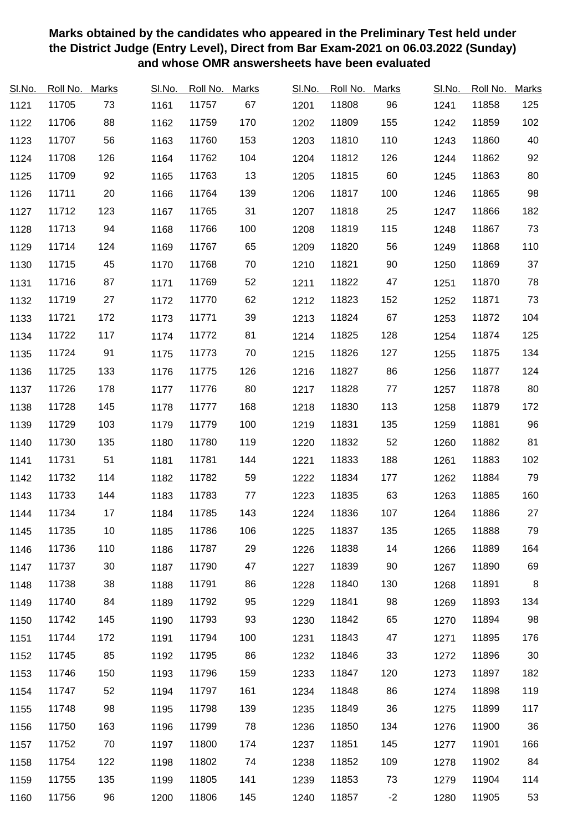| SI.No. | Roll No. | <b>Marks</b> | SI.No. | Roll No. | <b>Marks</b> | SI.No. | Roll No. | <b>Marks</b> | SI.No. | Roll No. | <b>Marks</b> |
|--------|----------|--------------|--------|----------|--------------|--------|----------|--------------|--------|----------|--------------|
| 1121   | 11705    | 73           | 1161   | 11757    | 67           | 1201   | 11808    | 96           | 1241   | 11858    | 125          |
| 1122   | 11706    | 88           | 1162   | 11759    | 170          | 1202   | 11809    | 155          | 1242   | 11859    | 102          |
| 1123   | 11707    | 56           | 1163   | 11760    | 153          | 1203   | 11810    | 110          | 1243   | 11860    | 40           |
| 1124   | 11708    | 126          | 1164   | 11762    | 104          | 1204   | 11812    | 126          | 1244   | 11862    | 92           |
| 1125   | 11709    | 92           | 1165   | 11763    | 13           | 1205   | 11815    | 60           | 1245   | 11863    | 80           |
| 1126   | 11711    | 20           | 1166   | 11764    | 139          | 1206   | 11817    | 100          | 1246   | 11865    | 98           |
| 1127   | 11712    | 123          | 1167   | 11765    | 31           | 1207   | 11818    | 25           | 1247   | 11866    | 182          |
| 1128   | 11713    | 94           | 1168   | 11766    | 100          | 1208   | 11819    | 115          | 1248   | 11867    | 73           |
| 1129   | 11714    | 124          | 1169   | 11767    | 65           | 1209   | 11820    | 56           | 1249   | 11868    | 110          |
| 1130   | 11715    | 45           | 1170   | 11768    | 70           | 1210   | 11821    | 90           | 1250   | 11869    | 37           |
| 1131   | 11716    | 87           | 1171   | 11769    | 52           | 1211   | 11822    | 47           | 1251   | 11870    | 78           |
| 1132   | 11719    | 27           | 1172   | 11770    | 62           | 1212   | 11823    | 152          | 1252   | 11871    | 73           |
| 1133   | 11721    | 172          | 1173   | 11771    | 39           | 1213   | 11824    | 67           | 1253   | 11872    | 104          |
| 1134   | 11722    | 117          | 1174   | 11772    | 81           | 1214   | 11825    | 128          | 1254   | 11874    | 125          |
| 1135   | 11724    | 91           | 1175   | 11773    | 70           | 1215   | 11826    | 127          | 1255   | 11875    | 134          |
| 1136   | 11725    | 133          | 1176   | 11775    | 126          | 1216   | 11827    | 86           | 1256   | 11877    | 124          |
| 1137   | 11726    | 178          | 1177   | 11776    | 80           | 1217   | 11828    | 77           | 1257   | 11878    | 80           |
| 1138   | 11728    | 145          | 1178   | 11777    | 168          | 1218   | 11830    | 113          | 1258   | 11879    | 172          |
| 1139   | 11729    | 103          | 1179   | 11779    | 100          | 1219   | 11831    | 135          | 1259   | 11881    | 96           |
| 1140   | 11730    | 135          | 1180   | 11780    | 119          | 1220   | 11832    | 52           | 1260   | 11882    | 81           |
| 1141   | 11731    | 51           | 1181   | 11781    | 144          | 1221   | 11833    | 188          | 1261   | 11883    | 102          |
| 1142   | 11732    | 114          | 1182   | 11782    | 59           | 1222   | 11834    | 177          | 1262   | 11884    | 79           |
| 1143   | 11733    | 144          | 1183   | 11783    | 77           | 1223   | 11835    | 63           | 1263   | 11885    | 160          |
| 1144   | 11734    | 17           | 1184   | 11785    | 143          | 1224   | 11836    | 107          | 1264   | 11886    | 27           |
| 1145   | 11735    | 10           | 1185   | 11786    | 106          | 1225   | 11837    | 135          | 1265   | 11888    | 79           |
| 1146   | 11736    | 110          | 1186   | 11787    | 29           | 1226   | 11838    | 14           | 1266   | 11889    | 164          |
| 1147   | 11737    | 30           | 1187   | 11790    | 47           | 1227   | 11839    | 90           | 1267   | 11890    | 69           |
| 1148   | 11738    | 38           | 1188   | 11791    | 86           | 1228   | 11840    | 130          | 1268   | 11891    | 8            |
| 1149   | 11740    | 84           | 1189   | 11792    | 95           | 1229   | 11841    | 98           | 1269   | 11893    | 134          |
| 1150   | 11742    | 145          | 1190   | 11793    | 93           | 1230   | 11842    | 65           | 1270   | 11894    | 98           |
| 1151   | 11744    | 172          | 1191   | 11794    | 100          | 1231   | 11843    | 47           | 1271   | 11895    | 176          |
| 1152   | 11745    | 85           | 1192   | 11795    | 86           | 1232   | 11846    | 33           | 1272   | 11896    | 30           |
| 1153   | 11746    | 150          | 1193   | 11796    | 159          | 1233   | 11847    | 120          | 1273   | 11897    | 182          |
| 1154   | 11747    | 52           | 1194   | 11797    | 161          | 1234   | 11848    | 86           | 1274   | 11898    | 119          |
| 1155   | 11748    | 98           | 1195   | 11798    | 139          | 1235   | 11849    | 36           | 1275   | 11899    | 117          |
| 1156   | 11750    | 163          | 1196   | 11799    | 78           | 1236   | 11850    | 134          | 1276   | 11900    | 36           |
| 1157   | 11752    | 70           | 1197   | 11800    | 174          | 1237   | 11851    | 145          | 1277   | 11901    | 166          |
| 1158   | 11754    | 122          | 1198   | 11802    | 74           | 1238   | 11852    | 109          | 1278   | 11902    | 84           |
| 1159   | 11755    | 135          | 1199   | 11805    | 141          | 1239   | 11853    | 73           | 1279   | 11904    | 114          |
| 1160   | 11756    | 96           | 1200   | 11806    | 145          | 1240   | 11857    | $-2$         | 1280   | 11905    | 53           |